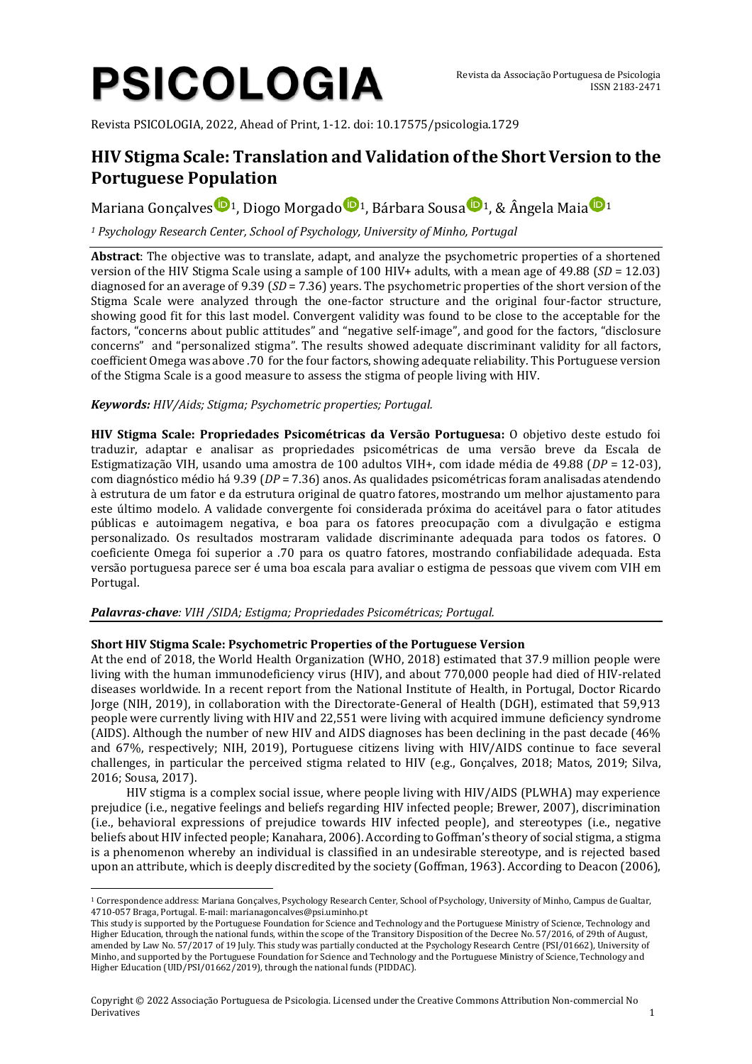# **PSICOLOGIA**

Revista PSICOLOGIA, 2022, Ahead of Print, 1-12. doi: 10.17575/psicologia.1729

# **HIV Stigma Scale: Translation and Validation ofthe Short Version to the Portuguese Population**

Mariana Gonçalves  $\mathbf{D}_1$  $\mathbf{D}_1$ , Diogo Morgado  $\mathbf{D}_1$ , Bárbara Sousa  $\mathbf{D}_1$ , & Ângela Maia  $\mathbf{D}_1$ 

*<sup>1</sup> Psychology Research Center, School of Psychology, University of Minho, Portugal*

**Abstract**: The objective was to translate, adapt, and analyze the psychometric properties of a shortened version of the HIV Stigma Scale using a sample of 100 HIV+ adults, with a mean age of 49.88 (*SD* = 12.03) diagnosed for an average of 9.39 (*SD* = 7.36) years. The psychometric properties of the short version of the Stigma Scale were analyzed through the one-factor structure and the original four-factor structure, showing good fit for this last model. Convergent validity was found to be close to the acceptable for the factors, "concerns about public attitudes" and "negative self-image", and good for the factors, "disclosure concerns" and "personalized stigma". The results showed adequate discriminant validity for all factors, coefficient Omega was above .70 for the four factors, showing adequate reliability. This Portuguese version of the Stigma Scale is a good measure to assess the stigma of people living with HIV.

*Keywords: HIV/Aids; Stigma; Psychometric properties; Portugal.*

**HIV Stigma Scale: Propriedades Psicométricas da Versão Portuguesa:** O objetivo deste estudo foi traduzir, adaptar e analisar as propriedades psicométricas de uma versão breve da Escala de Estigmatização VIH, usando uma amostra de 100 adultos VIH+, com idade média de 49.88 (*DP* = 12-03), com diagnóstico médio há 9.39 (*DP* = 7.36) anos. As qualidades psicométricas foram analisadas atendendo à estrutura de um fator e da estrutura original de quatro fatores, mostrando um melhor ajustamento para este último modelo. A validade convergente foi considerada próxima do aceitável para o fator atitudes públicas e autoimagem negativa, e boa para os fatores preocupação com a divulgação e estigma personalizado. Os resultados mostraram validade discriminante adequada para todos os fatores. O coeficiente Omega foi superior a .70 para os quatro fatores, mostrando confiabilidade adequada. Esta versão portuguesa parece ser é uma boa escala para avaliar o estigma de pessoas que vivem com VIH em Portugal.

# *Palavras-chave: VIH /SIDA; Estigma; Propriedades Psicométricas; Portugal.*

# **Short HIV Stigma Scale: Psychometric Properties of the Portuguese Version**

At the end of 2018, the World Health Organization (WHO, 2018) estimated that 37.9 million people were living with the human immunodeficiency virus (HIV), and about 770,000 people had died of HIV-related diseases worldwide. In a recent report from the National Institute of Health, in Portugal, Doctor Ricardo Jorge (NIH, 2019), in collaboration with the Directorate-General of Health (DGH), estimated that 59,913 people were currently living with HIV and 22,551 were living with acquired immune deficiency syndrome (AIDS). Although the number of new HIV and AIDS diagnoses has been declining in the past decade (46% and 67%, respectively; NIH, 2019), Portuguese citizens living with HIV/AIDS continue to face several challenges, in particular the perceived stigma related to HIV (e.g., Gonçalves, 2018; Matos, 2019; Silva, 2016; Sousa, 2017).

HIV stigma is a complex social issue, where people living with HIV/AIDS (PLWHA) may experience prejudice (i.e., negative feelings and beliefs regarding HIV infected people; Brewer, 2007), discrimination (i.e., behavioral expressions of prejudice towards HIV infected people), and stereotypes (i.e., negative beliefs aboutHIV infected people; Kanahara, 2006). According to Goffman's theory of social stigma, a stigma is a phenomenon whereby an individual is classified in an undesirable stereotype, and is rejected based upon an attribute, which is deeply discredited by the society (Goffman, 1963). According to Deacon (2006),

<sup>&</sup>lt;sup>1</sup> Correspondence address: Mariana Gonçalves, Psychology Research Center, School of Psychology, University of Minho, Campus de Gualtar, 4710-057 Braga, Portugal. E-mail: [marianagoncalves@psi.uminho.pt](mailto:marianagoncalves@psi.uminho.pt)

This study is supported by the Portuguese Foundation for Science and Technology and the Portuguese Ministry of Science, Technology and Higher Education, through the national funds, within the scope of the Transitory Disposition of the Decree No. 57/2016, of 29th of August, amended by Law No. 57/2017 of 19 July. This study was partially conducted at the Psychology Research Centre (PSI/01662), University of Minho, and supported by the Portuguese Foundation for Science and Technology and the Portuguese Ministry of Science, Technology and Higher Education (UID/PSI/01662/2019), through the national funds (PIDDAC).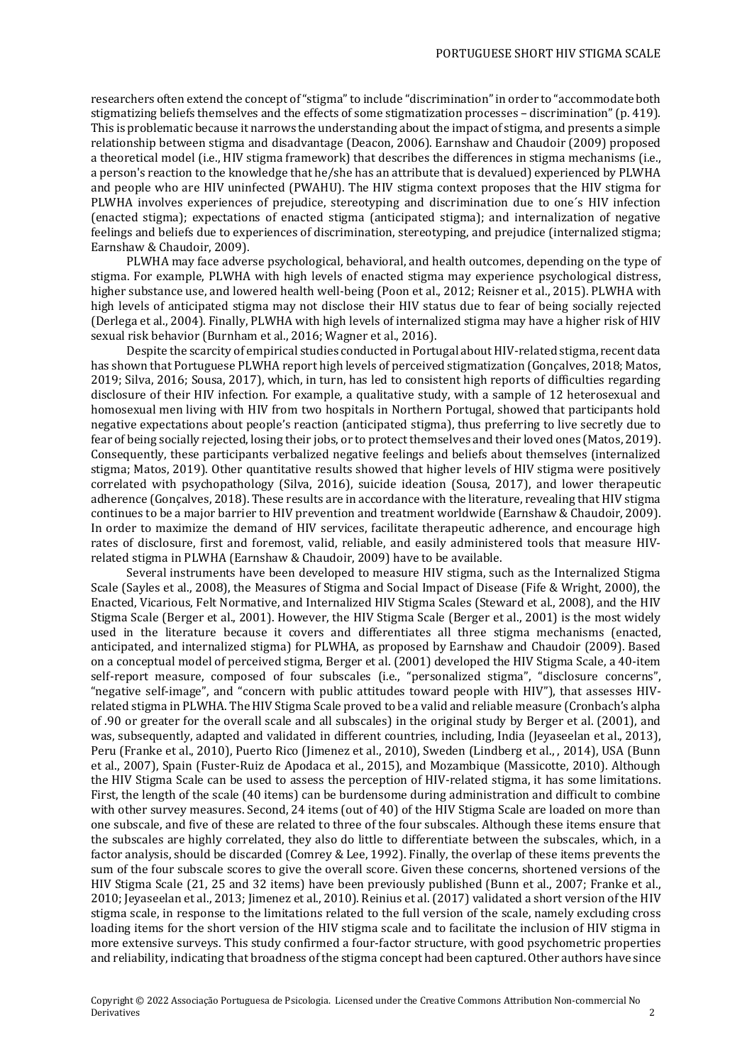researchers often extend the concept of"stigma"to include "discrimination"in order to "accommodate both stigmatizing beliefs themselves and the effects of some stigmatization processes – discrimination" (p. 419). This is problematic because it narrows the understanding about the impact of stigma, and presents a simple relationship between stigma and disadvantage (Deacon, 2006). Earnshaw and Chaudoir (2009) proposed a theoretical model (i.e., HIV stigma framework) that describes the differences in stigma mechanisms (i.e., a person's reaction to the knowledge that he/she has an attribute that is devalued) experienced by PLWHA and people who are HIV uninfected (PWAHU). The HIV stigma context proposes that the HIV stigma for PLWHA involves experiences of prejudice, stereotyping and discrimination due to one´s HIV infection (enacted stigma); expectations of enacted stigma (anticipated stigma); and internalization of negative feelings and beliefs due to experiences of discrimination, stereotyping, and prejudice (internalized stigma; Earnshaw & Chaudoir, 2009).

PLWHA may face adverse psychological, behavioral, and health outcomes, depending on the type of stigma. For example, PLWHA with high levels of enacted stigma may experience psychological distress, higher substance use, and lowered health well-being (Poon et al., 2012; Reisner et al., 2015). PLWHA with high levels of anticipated stigma may not disclose their HIV status due to fear of being socially rejected (Derlega et al., 2004). Finally, PLWHA with high levels of internalized stigma may have a higher risk of HIV sexual risk behavior (Burnham et al., 2016; Wagner et al., 2016).

Despite the scarcity of empirical studies conducted in Portugal about HIV-related stigma, recent data has shown that Portuguese PLWHA report high levels of perceived stigmatization (Gonçalves, 2018; Matos, 2019; Silva, 2016; Sousa, 2017), which, in turn, has led to consistent high reports of difficulties regarding disclosure of their HIV infection. For example, a qualitative study, with a sample of 12 heterosexual and homosexual men living with HIV from two hospitals in Northern Portugal, showed that participants hold negative expectations about people's reaction (anticipated stigma), thus preferring to live secretly due to fear of being socially rejected, losing their jobs, or to protect themselves and their loved ones (Matos, 2019). Consequently, these participants verbalized negative feelings and beliefs about themselves (internalized stigma; Matos, 2019). Other quantitative results showed that higher levels of HIV stigma were positively correlated with psychopathology (Silva, 2016), suicide ideation (Sousa, 2017), and lower therapeutic adherence (Gonçalves, 2018). These results are in accordance with the literature, revealing that HIV stigma continues to be a major barrier to HIV prevention and treatment worldwide (Earnshaw & Chaudoir, 2009). In order to maximize the demand of HIV services, facilitate therapeutic adherence, and encourage high rates of disclosure, first and foremost, valid, reliable, and easily administered tools that measure HIVrelated stigma in PLWHA (Earnshaw & Chaudoir, 2009) have to be available.

Several instruments have been developed to measure HIV stigma, such as the Internalized Stigma Scale (Sayles et al., 2008), the Measures of Stigma and Social Impact of Disease (Fife & Wright, 2000), the Enacted, Vicarious, Felt Normative, and Internalized HIV Stigma Scales (Steward et al., 2008), and the HIV Stigma Scale (Berger et al., 2001). However, the HIV Stigma Scale (Berger et al., 2001) is the most widely used in the literature because it covers and differentiates all three stigma mechanisms (enacted, anticipated, and internalized stigma) for PLWHA, as proposed by Earnshaw and Chaudoir (2009). Based on a conceptual model of perceived stigma, Berger et al. (2001) developed the HIV Stigma Scale, a 40-item self-report measure, composed of four subscales (i.e., "personalized stigma", "disclosure concerns", "negative self-image", and "concern with public attitudes toward people with HIV"), that assesses HIVrelated stigma in PLWHA. The HIV Stigma Scale proved to be a valid and reliable measure (Cronbach's alpha of .90 or greater for the overall scale and all subscales) in the original study by Berger et al. (2001), and was, subsequently, adapted and validated in different countries, including, India (Jeyaseelan et al., 2013), Peru (Franke et al., 2010), Puerto Rico (Jimenez et al., 2010), Sweden (Lindberg et al., , 2014), USA (Bunn et al., 2007), Spain (Fuster-Ruiz de Apodaca et al., 2015), and Mozambique (Massicotte, 2010). Although the HIV Stigma Scale can be used to assess the perception of HIV-related stigma, it has some limitations. First, the length of the scale (40 items) can be burdensome during administration and difficult to combine with other survey measures. Second, 24 items (out of 40) of the HIV Stigma Scale are loaded on more than one subscale, and five of these are related to three of the four subscales. Although these items ensure that the subscales are highly correlated, they also do little to differentiate between the subscales, which, in a factor analysis, should be discarded (Comrey & Lee, 1992). Finally, the overlap of these items prevents the sum of the four subscale scores to give the overall score. Given these concerns, shortened versions of the HIV Stigma Scale (21, 25 and 32 items) have been previously published (Bunn et al., 2007; Franke et al., 2010; Jeyaseelan et al., 2013; Jimenez et al., 2010). Reinius et al. (2017) validated a short version of the HIV stigma scale, in response to the limitations related to the full version of the scale, namely excluding cross loading items for the short version of the HIV stigma scale and to facilitate the inclusion of HIV stigma in more extensive surveys. This study confirmed a four-factor structure, with good psychometric properties and reliability, indicating that broadness ofthe stigma concept had been captured. Other authors have since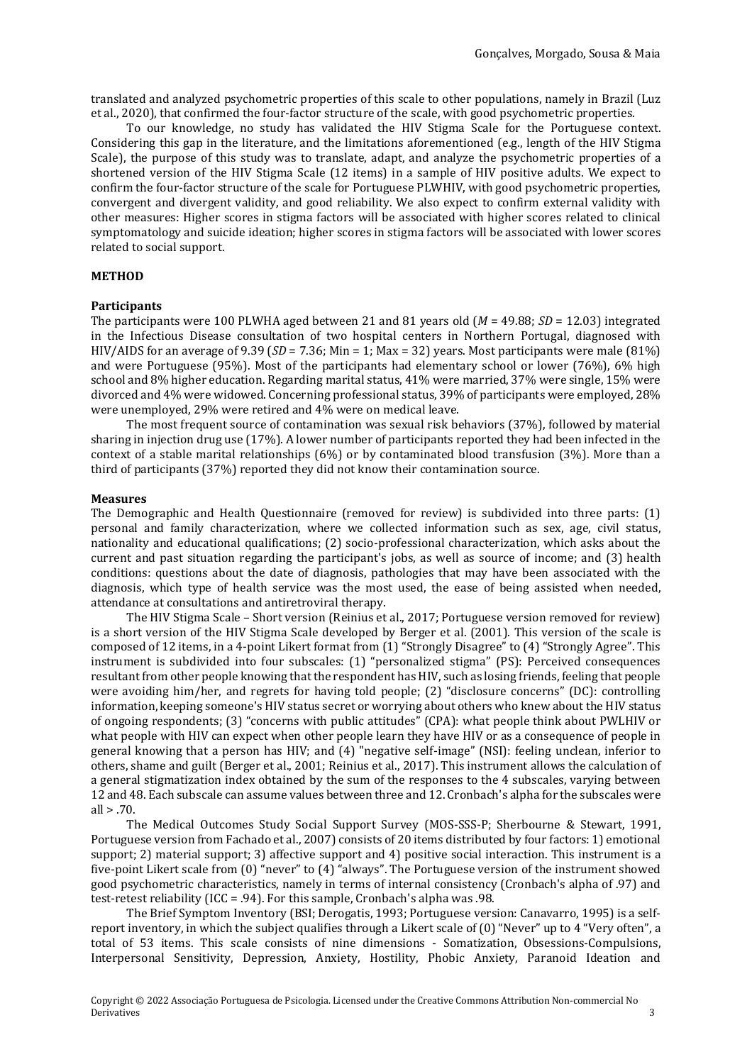translated and analyzed psychometric properties of this scale to other populations, namely in Brazil (Luz et al., 2020), that confirmed the four-factor structure of the scale, with good psychometric properties.

To our knowledge, no study has validated the HIV Stigma Scale for the Portuguese context. Considering this gap in the literature, and the limitations aforementioned (e.g., length of the HIV Stigma Scale), the purpose of this study was to translate, adapt, and analyze the psychometric properties of a shortened version of the HIV Stigma Scale (12 items) in a sample of HIV positive adults. We expect to confirm the four-factor structure of the scale for Portuguese PLWHIV, with good psychometric properties, convergent and divergent validity, and good reliability. We also expect to confirm external validity with other measures: Higher scores in stigma factors will be associated with higher scores related to clinical symptomatology and suicide ideation; higher scores in stigma factors will be associated with lower scores related to social support.

# **METHOD**

# **Participants**

The participants were 100 PLWHA aged between 21 and 81 years old (*M* = 49.88; *SD* = 12.03) integrated in the Infectious Disease consultation of two hospital centers in Northern Portugal, diagnosed with HIV/AIDS for an average of 9.39 (*SD* = 7.36; Min = 1; Max = 32) years. Most participants were male (81%) and were Portuguese (95%). Most of the participants had elementary school or lower (76%), 6% high school and 8% higher education. Regarding marital status, 41% were married, 37% were single, 15% were divorced and 4% were widowed. Concerning professional status, 39% of participants were employed, 28% were unemployed, 29% were retired and 4% were on medical leave.

The most frequent source of contamination was sexual risk behaviors (37%), followed by material sharing in injection drug use (17%). A lower number of participants reported they had been infected in the context of a stable marital relationships (6%) or by contaminated blood transfusion (3%). More than a third of participants (37%) reported they did not know their contamination source.

#### **Measures**

The Demographic and Health Questionnaire (removed for review) is subdivided into three parts: (1) personal and family characterization, where we collected information such as sex, age, civil status, nationality and educational qualifications; (2) socio-professional characterization, which asks about the current and past situation regarding the participant's jobs, as well as source of income; and (3) health conditions: questions about the date of diagnosis, pathologies that may have been associated with the diagnosis, which type of health service was the most used, the ease of being assisted when needed, attendance at consultations and antiretroviral therapy.

The HIV Stigma Scale – Short version (Reinius et al., 2017; Portuguese version removed for review) is a short version of the HIV Stigma Scale developed by Berger et al. (2001). This version of the scale is composed of 12 items, in a 4-point Likert format from (1) "Strongly Disagree" to (4) "Strongly Agree". This instrument is subdivided into four subscales: (1) "personalized stigma" (PS): Perceived consequences resultant from other people knowing that the respondent has HIV, such as losing friends, feeling that people were avoiding him/her, and regrets for having told people; (2) "disclosure concerns" (DC): controlling information, keeping someone's HIV status secret or worrying about others who knew about the HIV status of ongoing respondents; (3) "concerns with public attitudes" (CPA): what people think about PWLHIV or what people with HIV can expect when other people learn they have HIV or as a consequence of people in general knowing that a person has HIV; and (4) "negative self-image" (NSI): feeling unclean, inferior to others, shame and guilt (Berger et al., 2001; Reinius et al., 2017). This instrument allows the calculation of a general stigmatization index obtained by the sum of the responses to the 4 subscales, varying between 12 and 48. Each subscale can assume values between three and 12. Cronbach's alpha for the subscales were all > .70.

The Medical Outcomes Study Social Support Survey (MOS-SSS-P; Sherbourne & Stewart, 1991, Portuguese version from Fachado et al., 2007) consists of 20 items distributed by four factors: 1) emotional support; 2) material support; 3) affective support and 4) positive social interaction. This instrument is a five-point Likert scale from (0) "never" to (4) "always". The Portuguese version of the instrument showed good psychometric characteristics, namely in terms of internal consistency (Cronbach's alpha of .97) and test-retest reliability (ICC = .94). For this sample, Cronbach's alpha was .98.

The Brief Symptom Inventory (BSI; Derogatis, 1993; Portuguese version: Canavarro, 1995) is a selfreport inventory, in which the subject qualifies through a Likert scale of (0) "Never" up to 4 "Very often", a total of 53 items. This scale consists of nine dimensions - Somatization, Obsessions-Compulsions, Interpersonal Sensitivity, Depression, Anxiety, Hostility, Phobic Anxiety, Paranoid Ideation and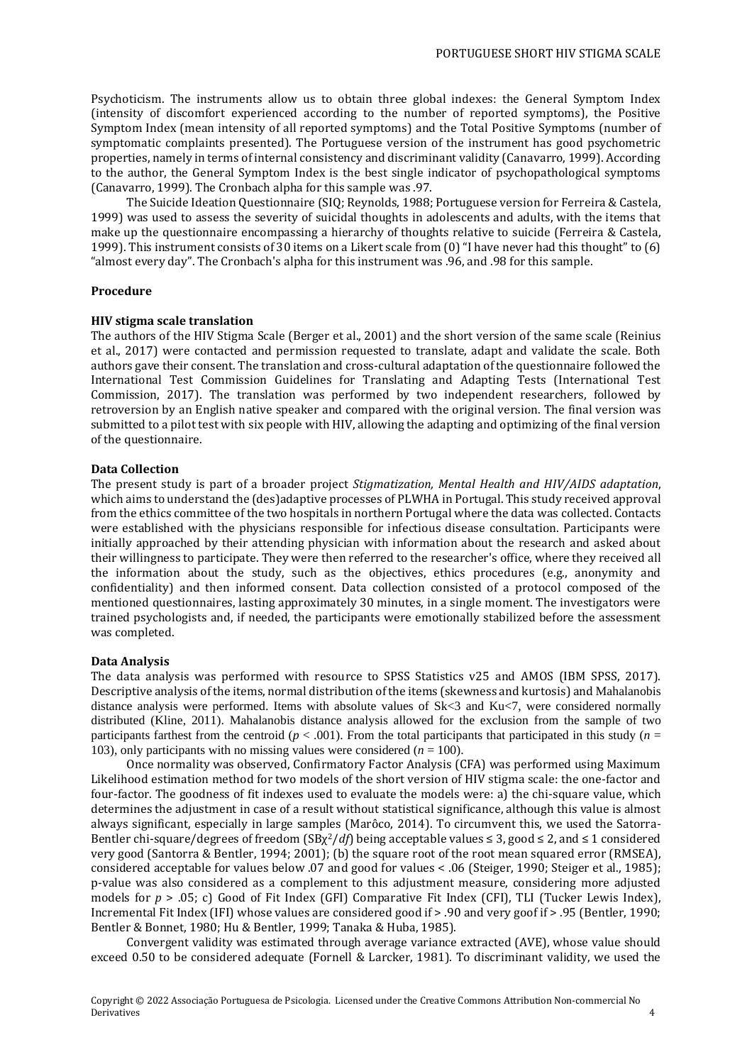Psychoticism. The instruments allow us to obtain three global indexes: the General Symptom Index (intensity of discomfort experienced according to the number of reported symptoms), the Positive Symptom Index (mean intensity of all reported symptoms) and the Total Positive Symptoms (number of symptomatic complaints presented). The Portuguese version of the instrument has good psychometric properties, namely in terms of internal consistency and discriminant validity (Canavarro, 1999). According to the author, the General Symptom Index is the best single indicator of psychopathological symptoms (Canavarro, 1999). The Cronbach alpha for this sample was .97.

The Suicide Ideation Questionnaire (SIQ; Reynolds, 1988; Portuguese version for Ferreira & Castela, 1999) was used to assess the severity of suicidal thoughts in adolescents and adults, with the items that make up the questionnaire encompassing a hierarchy of thoughts relative to suicide (Ferreira & Castela, 1999). This instrument consists of 30 items on a Likert scale from (0) "I have never had this thought" to (6) "almost every day". The Cronbach's alpha for this instrument was .96, and .98 for this sample.

#### **Procedure**

#### **HIV stigma scale translation**

The authors of the HIV Stigma Scale (Berger et al., 2001) and the short version of the same scale (Reinius et al., 2017) were contacted and permission requested to translate, adapt and validate the scale. Both authors gave their consent. The translation and cross-cultural adaptation of the questionnaire followed the International Test Commission Guidelines for Translating and Adapting Tests (International Test Commission, 2017). The translation was performed by two independent researchers, followed by retroversion by an English native speaker and compared with the original version. The final version was submitted to a pilot test with six people with HIV, allowing the adapting and optimizing of the final version of the questionnaire.

#### **Data Collection**

The present study is part of a broader project *Stigmatization, Mental Health and HIV/AIDS adaptation*, which aims to understand the (des)adaptive processes of PLWHA in Portugal. This study received approval from the ethics committee of the two hospitals in northern Portugal where the data was collected. Contacts were established with the physicians responsible for infectious disease consultation. Participants were initially approached by their attending physician with information about the research and asked about their willingness to participate. They were then referred to the researcher's office, where they received all the information about the study, such as the objectives, ethics procedures (e.g., anonymity and confidentiality) and then informed consent. Data collection consisted of a protocol composed of the mentioned questionnaires, lasting approximately 30 minutes, in a single moment. The investigators were trained psychologists and, if needed, the participants were emotionally stabilized before the assessment was completed.

#### **Data Analysis**

The data analysis was performed with resource to SPSS Statistics v25 and AMOS (IBM SPSS, 2017). Descriptive analysis of the items, normal distribution of the items (skewness and kurtosis) and Mahalanobis distance analysis were performed. Items with absolute values of Sk<3 and Ku<7, were considered normally distributed (Kline, 2011). Mahalanobis distance analysis allowed for the exclusion from the sample of two participants farthest from the centroid ( $p < .001$ ). From the total participants that participated in this study ( $n =$ 103), only participants with no missing values were considered  $(n = 100)$ .

Once normality was observed, Confirmatory Factor Analysis (CFA) was performed using Maximum Likelihood estimation method for two models of the short version of HIV stigma scale: the one-factor and four-factor. The goodness of fit indexes used to evaluate the models were: a) the chi-square value, which determines the adjustment in case of a result without statistical significance, although this value is almost always significant, especially in large samples (Marôco, 2014). To circumvent this, we used the Satorra-Bentler chi-square/degrees of freedom (SBχ2/*df*) being acceptable values ≤ 3, good ≤ 2, and ≤ 1 considered very good (Santorra & Bentler, 1994; 2001); (b) the square root of the root mean squared error (RMSEA), considered acceptable for values below .07 and good for values < .06 (Steiger, 1990; Steiger et al., 1985); p-value was also considered as a complement to this adjustment measure, considering more adjusted models for *p* > .05; c) Good of Fit Index (GFI) Comparative Fit Index (CFI), TLI (Tucker Lewis Index), Incremental Fit Index (IFI) whose values are considered good if > .90 and very goof if > .95 (Bentler, 1990; Bentler & Bonnet, 1980; Hu & Bentler, 1999; Tanaka & Huba, 1985).

Convergent validity was estimated through average variance extracted (AVE), whose value should exceed 0.50 to be considered adequate (Fornell & Larcker, 1981). To discriminant validity, we used the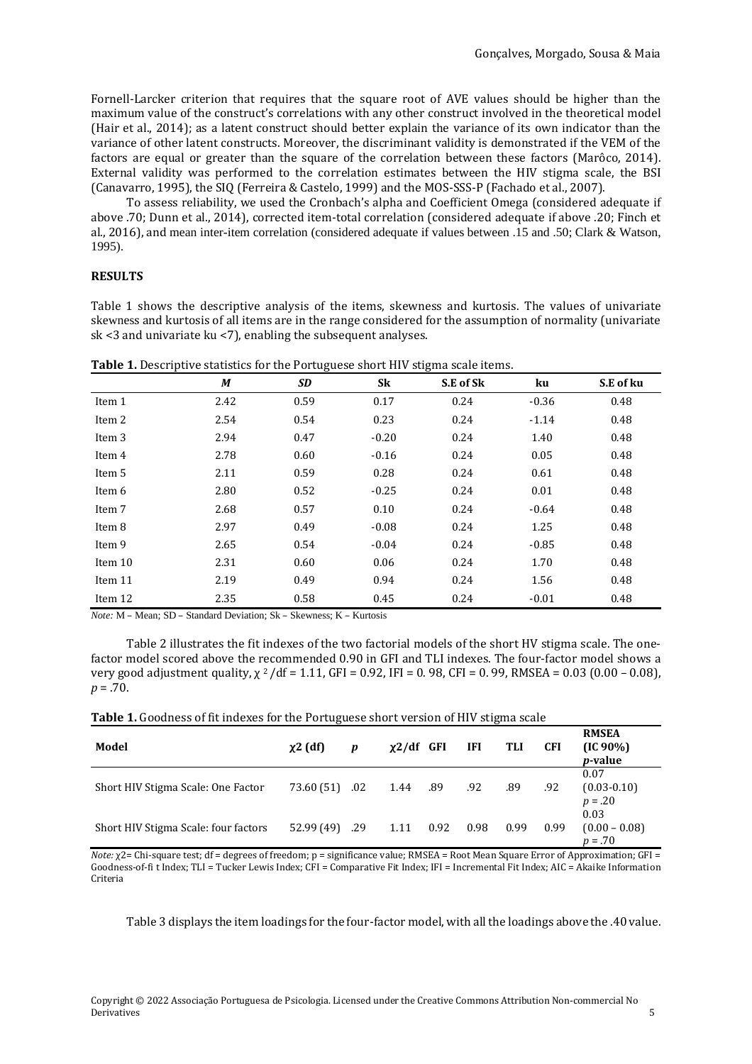Fornell-Larcker criterion that requires that the square root of AVE values should be higher than the maximum value of the construct's correlations with any other construct involved in the theoretical model (Hair et al., 2014); as a latent construct should better explain the variance of its own indicator than the variance of other latent constructs. Moreover, the discriminant validity is demonstrated if the VEM of the factors are equal or greater than the square of the correlation between these factors (Marôco, 2014). External validity was performed to the correlation estimates between the HIV stigma scale, the BSI (Canavarro, 1995), the SIQ (Ferreira & Castelo, 1999) and the MOS-SSS-P (Fachado et al., 2007).

To assess reliability, we used the Cronbach's alpha and Coefficient Omega (considered adequate if above .70; Dunn et al., 2014), corrected item-total correlation (considered adequate if above .20; Finch et al., 2016), and mean inter-item correlation (considered adequate if values between .15 and .50; Clark & Watson, 1995).

# **RESULTS**

Table 1 shows the descriptive analysis of the items, skewness and kurtosis. The values of univariate skewness and kurtosis of all items are in the range considered for the assumption of normality (univariate sk <3 and univariate ku <7), enabling the subsequent analyses.

|         | M    | <b>SD</b> | Sk      | S.E of Sk | ku      | S.E of ku |
|---------|------|-----------|---------|-----------|---------|-----------|
| Item 1  | 2.42 | 0.59      | 0.17    | 0.24      | $-0.36$ | 0.48      |
| Item 2  | 2.54 | 0.54      | 0.23    | 0.24      | $-1.14$ | 0.48      |
| Item 3  | 2.94 | 0.47      | $-0.20$ | 0.24      | 1.40    | 0.48      |
| Item 4  | 2.78 | 0.60      | $-0.16$ | 0.24      | 0.05    | 0.48      |
| Item 5  | 2.11 | 0.59      | 0.28    | 0.24      | 0.61    | 0.48      |
| Item 6  | 2.80 | 0.52      | $-0.25$ | 0.24      | 0.01    | 0.48      |
| Item 7  | 2.68 | 0.57      | 0.10    | 0.24      | $-0.64$ | 0.48      |
| Item 8  | 2.97 | 0.49      | $-0.08$ | 0.24      | 1.25    | 0.48      |
| Item 9  | 2.65 | 0.54      | $-0.04$ | 0.24      | $-0.85$ | 0.48      |
| Item 10 | 2.31 | 0.60      | 0.06    | 0.24      | 1.70    | 0.48      |
| Item 11 | 2.19 | 0.49      | 0.94    | 0.24      | 1.56    | 0.48      |
| Item 12 | 2.35 | 0.58      | 0.45    | 0.24      | $-0.01$ | 0.48      |

**Table 1.** Descriptive statistics for the Portuguese short HIV stigma scale items.

*Note:* M – Mean; SD – Standard Deviation; Sk – Skewness; K – Kurtosis

Table 2 illustrates the fit indexes of the two factorial models of the short HV stigma scale. The onefactor model scored above the recommended 0.90 in GFI and TLI indexes. The four-factor model shows a very good adjustment quality, χ <sup>2</sup> /df = 1.11, GFI = 0.92, IFI = 0. 98, CFI = 0. 99, RMSEA = 0.03 (0.00 – 0.08), *p* = .70.

|  |  |  | Table 1. Goodness of fit indexes for the Portuguese short version of HIV stigma scale |  |
|--|--|--|---------------------------------------------------------------------------------------|--|
|--|--|--|---------------------------------------------------------------------------------------|--|

| Model                                | $x^2$ (df) | p   | $\chi$ 2/df GFI |      | <b>IFI</b> | TLI  | <b>CFI</b> | <b>RMSEA</b><br>(IC 90%)<br><i>p</i> -value |
|--------------------------------------|------------|-----|-----------------|------|------------|------|------------|---------------------------------------------|
| Short HIV Stigma Scale: One Factor   | 73.60 (51) | .02 | 1.44            | .89  | .92        | .89  | .92        | 0.07<br>$(0.03 - 0.10)$<br>$p = .20$        |
| Short HIV Stigma Scale: four factors | 52.99 (49) | .29 | 1.11            | 0.92 | 0.98       | 0.99 | 0.99       | 0.03<br>$(0.00 - 0.08)$<br>$p = .70$        |

*Note:* χ2= Chi-square test; df = degrees of freedom; p = significance value; RMSEA = Root Mean Square Error of Approximation; GFI = Goodness-of-fi t Index; TLI = Tucker Lewis Index; CFI = Comparative Fit Index; IFI = Incremental Fit Index; AIC = Akaike Information Criteria

Table 3 displays the item loadings for the four-factor model, with all the loadings above the .40 value.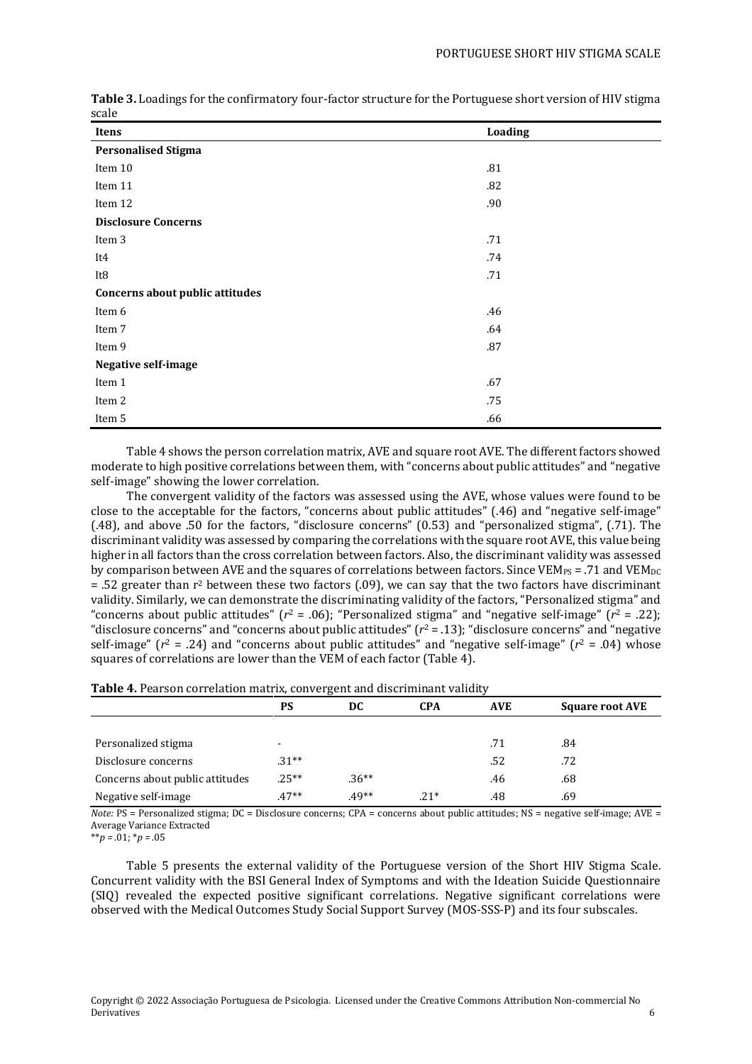| ocuic                           |         |
|---------------------------------|---------|
| Itens                           | Loading |
| <b>Personalised Stigma</b>      |         |
| Item 10                         | .81     |
| Item 11                         | .82     |
| Item 12                         | .90     |
| <b>Disclosure Concerns</b>      |         |
| Item 3                          | .71     |
| It4                             | .74     |
| It8                             | .71     |
| Concerns about public attitudes |         |
| Item 6                          | .46     |
| Item 7                          | .64     |
| Item 9                          | .87     |
| Negative self-image             |         |
| Item 1                          | .67     |
| Item 2                          | .75     |
| Item 5                          | .66     |

**Table 3.** Loadings for the confirmatory four-factor structure for the Portuguese short version of HIV stigma scale

Table 4 shows the person correlation matrix, AVE and square root AVE. The different factors showed moderate to high positive correlations between them, with "concerns about public attitudes" and "negative self-image" showing the lower correlation.

The convergent validity of the factors was assessed using the AVE, whose values were found to be close to the acceptable for the factors, "concerns about public attitudes" (.46) and "negative self-image" (.48), and above .50 for the factors, "disclosure concerns" (0.53) and "personalized stigma", (.71). The discriminant validity was assessed by comparing the correlations with the square root AVE, this value being higher in all factors than the cross correlation between factors. Also, the discriminant validity was assessed by comparison between AVE and the squares of correlations between factors. Since VEM<sub>PS</sub> = .71 and VEM<sub>DC</sub> = .52 greater than r <sup>2</sup> between these two factors (.09), we can say that the two factors have discriminant validity. Similarly, we can demonstrate the discriminating validity of the factors, "Personalized stigma" and "concerns about public attitudes" (*r* <sup>2</sup> = .06); "Personalized stigma" and "negative self-image" (*r* <sup>2</sup> = .22); "disclosure concerns" and "concerns about public attitudes" (*r* <sup>2</sup> = .13); "disclosure concerns" and "negative self-image" (*r* <sup>2</sup> = .24) and "concerns about public attitudes" and "negative self-image" (*r* <sup>2</sup> = .04) whose squares of correlations are lower than the VEM of each factor (Table 4).

|  | Table 4. Pearson correlation matrix, convergent and discriminant validity |
|--|---------------------------------------------------------------------------|
|  |                                                                           |

|                                 | PS      | DC.     | <b>CPA</b> | <b>AVE</b> | <b>Square root AVE</b> |
|---------------------------------|---------|---------|------------|------------|------------------------|
|                                 |         |         |            |            |                        |
| Personalized stigma             | -       |         |            | .71        | .84                    |
| Disclosure concerns             | $.31**$ |         |            | .52        | .72                    |
| Concerns about public attitudes | $.25**$ | $.36**$ |            | .46        | .68                    |
| Negative self-image             | $.47**$ | $49**$  | $.21*$     | .48        | .69                    |

*Note:* PS = Personalized stigma; DC = Disclosure concerns; CPA = concerns about public attitudes; NS = negative self-image; AVE = Average Variance Extracted

\*\**p* = .01; \**p* = .05

Table 5 presents the external validity of the Portuguese version of the Short HIV Stigma Scale. Concurrent validity with the BSI General Index of Symptoms and with the Ideation Suicide Questionnaire (SIQ) revealed the expected positive significant correlations. Negative significant correlations were observed with the Medical Outcomes Study Social Support Survey (MOS-SSS-P) and its four subscales.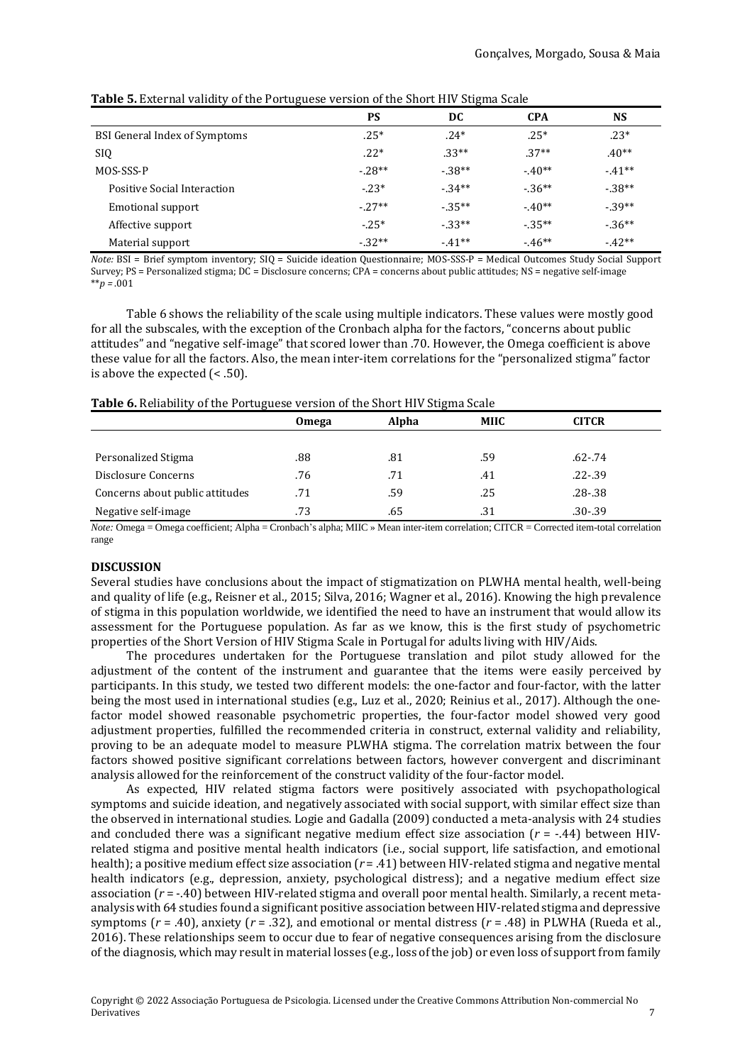|                                      | <b>PS</b> | DC       | <b>CPA</b> | NS       |
|--------------------------------------|-----------|----------|------------|----------|
| <b>BSI General Index of Symptoms</b> | $.25*$    | $.24*$   | $.25*$     | $.23*$   |
| SIQ                                  | $.22*$    | $.33**$  | $.37**$    | $.40**$  |
| MOS-SSS-P                            | $-28**$   | $-.38**$ | $-40**$    | $-41**$  |
| Positive Social Interaction          | $-23*$    | $-34**$  | $-36**$    | $-.38**$ |
| <b>Emotional support</b>             | $-27**$   | $-35**$  | $-40**$    | $-39**$  |
| Affective support                    | $-25*$    | $-.33**$ | $-35**$    | $-36**$  |
| Material support                     | $-32**$   | $-41**$  | $-46**$    | $-42**$  |

**Table 5.** External validity of the Portuguese version of the Short HIV Stigma Scale

*Note:* BSI = Brief symptom inventory; SIQ = Suicide ideation Questionnaire; MOS-SSS-P = Medical Outcomes Study Social Support Survey; PS = Personalized stigma; DC = Disclosure concerns; CPA = concerns about public attitudes; NS = negative self-image \*\**p =* .001

Table 6 shows the reliability of the scale using multiple indicators. These values were mostly good for all the subscales, with the exception of the Cronbach alpha for the factors, "concerns about public attitudes" and "negative self-image" that scored lower than .70. However, the Omega coefficient is above these value for all the factors. Also, the mean inter-item correlations for the "personalized stigma" factor is above the expected (< .50).

|                                 | <b>Omega</b> | Alpha | MIIC | <b>CITCR</b> |
|---------------------------------|--------------|-------|------|--------------|
|                                 |              |       |      |              |
| Personalized Stigma             | .88          | .81   | .59  | $.62 - .74$  |
| Disclosure Concerns             | .76          | .71   | .41  | $.22 - .39$  |
| Concerns about public attitudes | .71          | .59   | .25  | $.28 - .38$  |
| Negative self-image             | .73          | .65   | .31  | $.30 - .39$  |

**Table 6.** Reliability of the Portuguese version of the Short HIV Stigma Scale

*Note:* Omega = Omega coefficient; Alpha = Cronbach's alpha; MIIC » Mean inter-item correlation; CITCR = Corrected item-total correlation range

#### **DISCUSSION**

Several studies have conclusions about the impact of stigmatization on PLWHA mental health, well-being and quality of life (e.g., Reisner et al., 2015; Silva, 2016; Wagner et al., 2016). Knowing the high prevalence of stigma in this population worldwide, we identified the need to have an instrument that would allow its assessment for the Portuguese population. As far as we know, this is the first study of psychometric properties of the Short Version of HIV Stigma Scale in Portugal for adults living with HIV/Aids.

The procedures undertaken for the Portuguese translation and pilot study allowed for the adjustment of the content of the instrument and guarantee that the items were easily perceived by participants. In this study, we tested two different models: the one-factor and four-factor, with the latter being the most used in international studies (e.g., Luz et al., 2020; Reinius et al., 2017). Although the onefactor model showed reasonable psychometric properties, the four-factor model showed very good adjustment properties, fulfilled the recommended criteria in construct, external validity and reliability, proving to be an adequate model to measure PLWHA stigma. The correlation matrix between the four factors showed positive significant correlations between factors, however convergent and discriminant analysis allowed for the reinforcement of the construct validity of the four-factor model.

As expected, HIV related stigma factors were positively associated with psychopathological symptoms and suicide ideation, and negatively associated with social support, with similar effect size than the observed in international studies. Logie and Gadalla (2009) conducted a meta-analysis with 24 studies and concluded there was a significant negative medium effect size association (*r* = -.44) between HIVrelated stigma and positive mental health indicators (i.e., social support, life satisfaction, and emotional health); a positive medium effect size association (*r* = .41) between HIV-related stigma and negative mental health indicators (e.g., depression, anxiety, psychological distress); and a negative medium effect size association (*r* = -.40) between HIV-related stigma and overall poor mental health. Similarly, a recent metaanalysis with 64 studies found a significant positive association betweenHIV-related stigma and depressive symptoms (*r* = .40), anxiety (*r* = .32), and emotional or mental distress (*r* = .48) in PLWHA (Rueda et al., 2016). These relationships seem to occur due to fear of negative consequences arising from the disclosure ofthe diagnosis, which may result in material losses (e.g., loss of the job) or even loss of support from family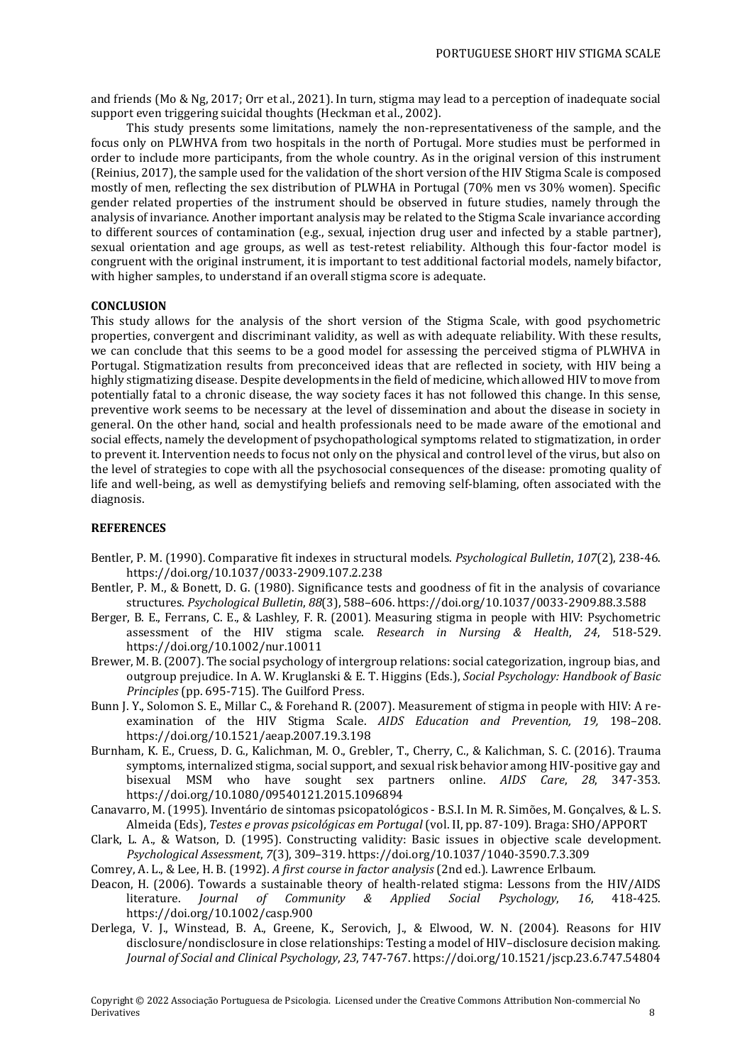and friends (Mo & Ng, 2017; Orr et al., 2021). In turn, stigma may lead to a perception of inadequate social support even triggering suicidal thoughts (Heckman et al., 2002).

This study presents some limitations, namely the non-representativeness of the sample, and the focus only on PLWHVA from two hospitals in the north of Portugal. More studies must be performed in order to include more participants, from the whole country. As in the original version of this instrument (Reinius, 2017), the sample used for the validation of the short version of the HIV Stigma Scale is composed mostly of men, reflecting the sex distribution of PLWHA in Portugal (70% men vs 30% women). Specific gender related properties of the instrument should be observed in future studies, namely through the analysis of invariance. Another important analysis may be related to the Stigma Scale invariance according to different sources of contamination (e.g., sexual, injection drug user and infected by a stable partner), sexual orientation and age groups, as well as test-retest reliability. Although this four-factor model is congruent with the original instrument, it is important to test additional factorial models, namely bifactor, with higher samples, to understand if an overall stigma score is adequate.

# **CONCLUSION**

This study allows for the analysis of the short version of the Stigma Scale, with good psychometric properties, convergent and discriminant validity, as well as with adequate reliability. With these results, we can conclude that this seems to be a good model for assessing the perceived stigma of PLWHVA in Portugal. Stigmatization results from preconceived ideas that are reflected in society, with HIV being a highly stigmatizing disease. Despite developments in the field of medicine, which allowed HIV to move from potentially fatal to a chronic disease, the way society faces it has not followed this change. In this sense, preventive work seems to be necessary at the level of dissemination and about the disease in society in general. On the other hand, social and health professionals need to be made aware of the emotional and social effects, namely the development of psychopathological symptoms related to stigmatization, in order to prevent it. Intervention needs to focus not only on the physical and control level of the virus, but also on the level of strategies to cope with all the psychosocial consequences of the disease: promoting quality of life and well-being, as well as demystifying beliefs and removing self-blaming, often associated with the diagnosis.

#### **REFERENCES**

- Bentler, P. M. (1990). Comparative fit indexes in structural models. *Psychological Bulletin*, *107*(2), 238-46. <https://doi.org/10.1037/0033-2909.107.2.238>
- Bentler, P. M., & Bonett, D. G. (1980). Significance tests and goodness of fit in the analysis of covariance structures. *Psychological Bulletin*, *88*(3), 588–606. <https://doi.org/10.1037/0033-2909.88.3.588>
- Berger, B. E., Ferrans, C. E., & Lashley, F. R. (2001). Measuring stigma in people with HIV: Psychometric assessment of the HIV stigma scale. *Research in Nursing & Health*, *24*, 518-529. <https://doi.org/10.1002/nur.10011>
- Brewer, M. B.(2007). The social psychology of intergroup relations: social categorization, ingroup bias, and outgroup prejudice. In A. W. Kruglanski & E. T. Higgins (Eds.), *Social Psychology: Handbook of Basic Principles* (pp. 695-715)*.* The Guilford Press.
- Bunn J. Y., Solomon S. E., Millar C., & Forehand R. (2007). Measurement of stigma in people with HIV: A reexamination of the HIV Stigma Scale. *AIDS Education and Prevention, 19,* 198–208. <https://doi.org/10.1521/aeap.2007.19.3.198>
- Burnham, K. E., Cruess, D. G., Kalichman, M. O., Grebler, T., Cherry, C., & Kalichman, S. C. (2016). Trauma symptoms, internalized stigma, social support, and sexual risk behavior among HIV-positive gay and bisexual MSM who have sought sex partners online. *AIDS Care*, *28*, 347-353. <https://doi.org/10.1080/09540121.2015.1096894>
- Canavarro, M. (1995). Inventário de sintomas psicopatológicos B.S.I. In M. R. Simões, M. Gonçalves, & L. S. Almeida (Eds), *Testes e provas psicológicas em Portugal* (vol. II, pp. 87-109). Braga: SHO/APPORT
- Clark, L. A., & Watson, D. (1995). Constructing validity: Basic issues in objective scale development. *Psychological Assessment*, *7*(3), 309–319. <https://doi.org/10.1037/1040-3590.7.3.309>
- Comrey, A. L., & Lee, H. B. (1992). *A first course in factor analysis* (2nd ed.). Lawrence Erlbaum.
- Deacon, H. (2006). Towards a sustainable theory of health-related stigma: Lessons from the HIV/AIDS literature. *Journal of Community & Applied Social Psychology*, *16*, 418-425. <https://doi.org/10.1002/casp.900>
- Derlega, V. J., Winstead, B. A., Greene, K., Serovich, J., & Elwood, W. N. (2004). Reasons for HIV disclosure/nondisclosure in close relationships: Testing a model of HIV–disclosure decision making. *Journal of Social and Clinical Psychology*, *23*, 747-767. <https://doi.org/10.1521/jscp.23.6.747.54804>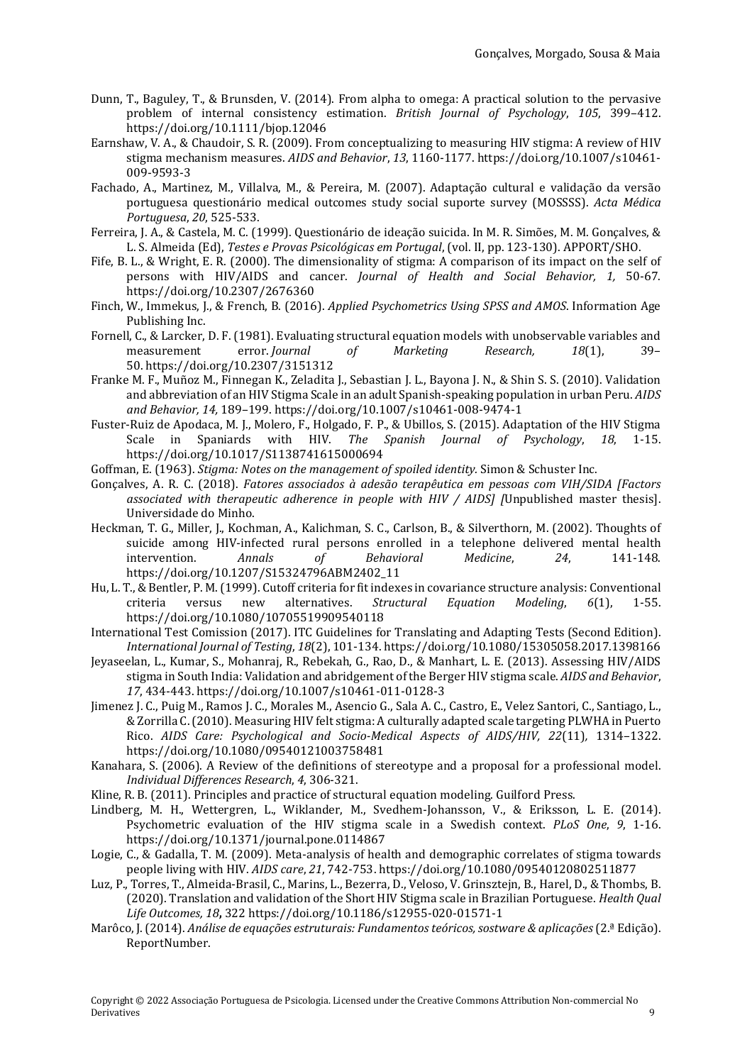- Dunn, T., Baguley, T., & Brunsden, V. (2014). From alpha to omega: A practical solution to the pervasive problem of internal consistency estimation. *British Journal of Psychology*, *105*, 399–412. <https://doi.org/10.1111/bjop.12046>
- Earnshaw, V. A., & Chaudoir, S. R. (2009). From conceptualizing to measuring HIV stigma: A review of HIV stigma mechanism measures. *AIDS and Behavior*, *13*, 1160-1177. [https://doi.org/10.1007/s10461-](https://doi.org/10.1007/s10461-009-9593-3) [009-9593-3](https://doi.org/10.1007/s10461-009-9593-3)
- Fachado, A., Martinez, M., Villalva, M., & Pereira, M. (2007). Adaptação cultural e validação da versão portuguesa questionário medical outcomes study social suporte survey (MOSSSS). *Acta Médica Portuguesa*, *20*, 525-533.
- Ferreira, J. A., & Castela, M. C. (1999). Questionário de ideação suicida. In M. R. Simões, M. M. Gonçalves, & L. S. Almeida (Ed), *Testes e Provas Psicológicas em Portugal*, (vol. II, pp. 123-130). APPORT/SHO.
- Fife, B. L., & Wright, E. R. (2000). The dimensionality of stigma: A comparison of its impact on the self of persons with HIV/AIDS and cancer. *Journal of Health and Social Behavior, 1,* 50-67. <https://doi.org/10.2307/2676360>
- Finch, W., Immekus, J., & French, B. (2016). *Applied Psychometrics Using SPSS and AMOS*. Information Age Publishing Inc.
- Fornell, C., & Larcker, D. F. (1981). Evaluating structural equation models with unobservable variables and measurement error. *Journal of Marketing Research, 18*(1), 39– 50. [https://doi.org/10.2307/3151312](https://psycnet.apa.org/doi/10.2307/3151312)
- Franke M. F., Muñoz M., Finnegan K., Zeladita J., Sebastian J. L., Bayona J. N., & Shin S. S. (2010). Validation and abbreviation of an HIV Stigma Scale in an adult Spanish-speaking population in urban Peru. *AIDS and Behavior, 14,* 189–199. <https://doi.org/10.1007/s10461-008-9474-1>
- Fuster-Ruiz de Apodaca, M. J., Molero, F., Holgado, F. P., & Ubillos, S. (2015). Adaptation of the HIV Stigma Scale in Spaniards with HIV. *The Spanish Journal of Psychology*, *18*, 1-15. <https://doi.org/10.1017/S1138741615000694>
- Goffman, E. (1963). *Stigma: Notes on the management of spoiled identity.* Simon & Schuster Inc.
- Gonçalves, A. R. C. (2018). *Fatores associados à adesão terapêutica em pessoas com VIH/SIDA [Factors associated with therapeutic adherence in people with HIV / AIDS] [*Unpublished master thesis]. Universidade do Minho.
- Heckman, T. G., Miller, J., Kochman, A., Kalichman, S. C., Carlson, B., & Silverthorn, M. (2002). Thoughts of suicide among HIV-infected rural persons enrolled in a telephone delivered mental health intervention. *Annals of Behavioral Medicine*, *24*, 141-148. [https://doi.org/10.1207/S15324796ABM2402\\_11](https://doi.org/10.1207/S15324796ABM2402_11)
- Hu, L. T., & Bentler, P. M. (1999). Cutoff criteria for fit indexes in covariance structure analysis: Conventional criteria versus new alternatives. *Structural Equation Modeling*, *6*(1), 1-55. <https://doi.org/10.1080/10705519909540118>
- International Test Comission (2017). ITC Guidelines for Translating and Adapting Tests (Second Edition). *International Journal of Testing*, *18*(2), 101-134. <https://doi.org/10.1080/15305058.2017.1398166>
- Jeyaseelan, L., Kumar, S., Mohanraj, R., Rebekah, G., Rao, D., & Manhart, L. E. (2013). Assessing HIV/AIDS stigma in South India: Validation and abridgement of the BergerHIV stigma scale. *AIDS and Behavior*, *17*, 434-443. <https://doi.org/10.1007/s10461-011-0128-3>
- Jimenez J. C., Puig M., Ramos J. C., Morales M., Asencio G., Sala A. C., Castro, E., Velez Santori, C., Santiago, L., &Zorrilla C.(2010). Measuring HIV felt stigma: A culturally adapted scale targeting PLWHA in Puerto Rico. *AIDS Care: Psychological and Socio-Medical Aspects of AIDS/HIV, 22*(11)*,* 1314–1322. <https://doi.org/10.1080/09540121003758481>
- Kanahara, S. (2006). A Review of the definitions of stereotype and a proposal for a professional model. *Individual Differences Research*, *4*, 306-321.
- Kline, R. B. (2011). Principles and practice of structural equation modeling. Guilford Press.
- Lindberg, M. H., Wettergren, L., Wiklander, M., Svedhem-Johansson, V., & Eriksson, L. E. (2014). Psychometric evaluation of the HIV stigma scale in a Swedish context. *PLoS One*, *9*, 1-16. <https://doi.org/10.1371/journal.pone.0114867>
- Logie, C., & Gadalla, T. M. (2009). Meta-analysis of health and demographic correlates of stigma towards people living with HIV. *AIDS care*, *21*, 742-753. <https://doi.org/10.1080/09540120802511877>
- Luz, P., Torres, T., Almeida-Brasil, C., Marins, L., Bezerra, D., Veloso, V. Grinsztejn, B., Harel, D., & Thombs, B. (2020). Translation and validation of the Short HIV Stigma scale in Brazilian Portuguese. *Health Qual Life Outcomes, 18***,** 322 <https://doi.org/10.1186/s12955-020-01571-1>
- Marôco, J. (2014). *Análise de equações estruturais: Fundamentosteóricos,sostware & aplicações*(2.ª Edição). ReportNumber.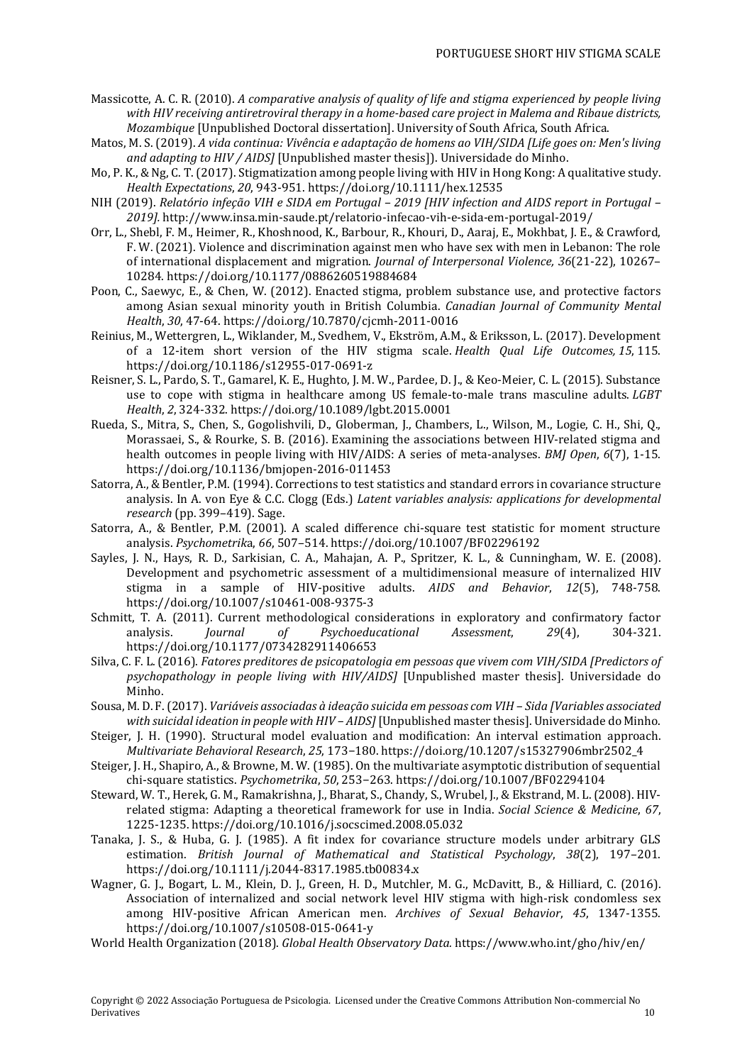- Massicotte, A. C. R. (2010). *A comparative analysis of quality of life and stigma experienced by people living with HIV receiving antiretroviral therapy in a home-based care project in Malema and Ribaue districts, Mozambique* [Unpublished Doctoral dissertation]. University of South Africa, South Africa.
- Matos, M. S. (2019). *A vida continua: Vivência e adaptação de homens ao VIH/SIDA [Life goes on: Men's living and adapting to HIV / AIDS]* [Unpublished master thesis]). Universidade do Minho.
- Mo, P. K., & Ng, C. T. (2017). Stigmatization among people living with HIV in Hong Kong: A qualitative study. *Health Expectations*, *20*, 943-951. <https://doi.org/10.1111/hex.12535>
- NIH (2019). *Relatório infeção VIH e SIDA em Portugal – 2019 [HIV infection and AIDS report in Portugal – 2019].* <http://www.insa.min-saude.pt/relatorio-infecao-vih-e-sida-em-portugal-2019/>
- Orr, L., Shebl, F. M., Heimer, R., Khoshnood, K., Barbour, R., Khouri, D., Aaraj, E., Mokhbat, J. E., & Crawford, F. W. (2021). Violence and discrimination against men who have sex with men in Lebanon: The role of international displacement and migration. *Journal of Interpersonal Violence, 36*(21-22), 10267– 10284. <https://doi.org/10.1177/0886260519884684>
- Poon, C., Saewyc, E., & Chen, W. (2012). Enacted stigma, problem substance use, and protective factors among Asian sexual minority youth in British Columbia. *Canadian Journal of Community Mental Health*, *30*, 47-64. <https://doi.org/10.7870/cjcmh-2011-0016>
- Reinius, M., Wettergren, L., Wiklander, M., Svedhem, V., Ekström, A.M., & Eriksson, L. (2017). Development of a 12-item short version of the HIV stigma scale. *Health Qual Life Outcomes, 15*, 115. <https://doi.org/10.1186/s12955-017-0691-z>
- Reisner, S. L., Pardo, S. T., Gamarel, K. E., Hughto, J. M. W., Pardee, D. J., & Keo-Meier, C. L. (2015). Substance use to cope with stigma in healthcare among US female-to-male trans masculine adults. *LGBT Health*, *2*, 324-332. <https://doi.org/10.1089/lgbt.2015.0001>
- Rueda, S., Mitra, S., Chen, S., Gogolishvili, D., Globerman, J., Chambers, L., Wilson, M., Logie, C. H., Shi, Q., Morassaei, S., & Rourke, S. B. (2016). Examining the associations between HIV-related stigma and health outcomes in people living with HIV/AIDS: A series of meta-analyses. *BMJ Open*, *6*(7), 1-15. <https://doi.org/10.1136/bmjopen-2016-011453>
- Satorra, A., & Bentler, P.M. (1994). Corrections to test statistics and standard errors in covariance structure analysis. In A. von Eye & C.C. Clogg (Eds.) *Latent variables analysis: applications for developmental research* (pp. 399–419). Sage.
- Satorra, A., & Bentler, P.M. (2001). A scaled difference chi-square test statistic for moment structure analysis. *Psychometrik*a, *66*, 507–514. <https://doi.org/10.1007/BF02296192>
- Sayles, J. N., Hays, R. D., Sarkisian, C. A., Mahajan, A. P., Spritzer, K. L., & Cunningham, W. E. (2008). Development and psychometric assessment of a multidimensional measure of internalized HIV stigma in a sample of HIV-positive adults. *AIDS and Behavior*, *12*(5), 748-758. <https://doi.org/10.1007/s10461-008-9375-3>
- Schmitt, T. A. (2011). Current methodological considerations in exploratory and confirmatory factor analysis. *Journal of Psychoeducational Assessment*, *29*(4), 304-321. <https://doi.org/10.1177/0734282911406653>
- Silva, C. F. L. (2016). *Fatores preditores de psicopatologia em pessoas que vivem com VIH/SIDA [Predictors of psychopathology in people living with HIV/AIDS]* [Unpublished master thesis]. Universidade do Minho.
- Sousa, M. D. F.(2017). *Variáveis associadas à ideação suicida em pessoas com VIH – Sida [Variables associated with suicidal ideation in people with HIV – AIDS]*[Unpublished master thesis]. Universidade do Minho.
- Steiger, J. H. (1990). Structural model evaluation and modification: An interval estimation approach. *Multivariate Behavioral Research*, *25*, 173−180. [https://doi.org/10.1207/s15327906mbr2502\\_4](https://doi.org/10.1207/s15327906mbr2502_4)
- Steiger, J. H., Shapiro, A., & Browne, M. W. (1985). On the multivariate asymptotic distribution of sequential chi-square statistics. *Psychometrika*, *50*, 253−263. <https://doi.org/10.1007/BF02294104>
- Steward, W. T., Herek, G. M., Ramakrishna, J., Bharat, S., Chandy, S., Wrubel, J., & Ekstrand, M. L. (2008). HIVrelated stigma: Adapting a theoretical framework for use in India. *Social Science & Medicine*, *67*, 1225-1235. <https://doi.org/10.1016/j.socscimed.2008.05.032>
- Tanaka, J. S., & Huba, G. J. (1985). A fit index for covariance structure models under arbitrary GLS estimation. *British Journal of Mathematical and Statistical Psychology*, *38*(2), 197–201. <https://doi.org/10.1111/j.2044-8317.1985.tb00834.x>
- Wagner, G. J., Bogart, L. M., Klein, D. J., Green, H. D., Mutchler, M. G., McDavitt, B., & Hilliard, C. (2016). Association of internalized and social network level HIV stigma with high-risk condomless sex among HIV-positive African American men. *Archives of Sexual Behavior*, *45*, 1347-1355. <https://doi.org/10.1007/s10508-015-0641-y>
- World Health Organization (2018). *Global Health Observatory Data.* <https://www.who.int/gho/hiv/en/>